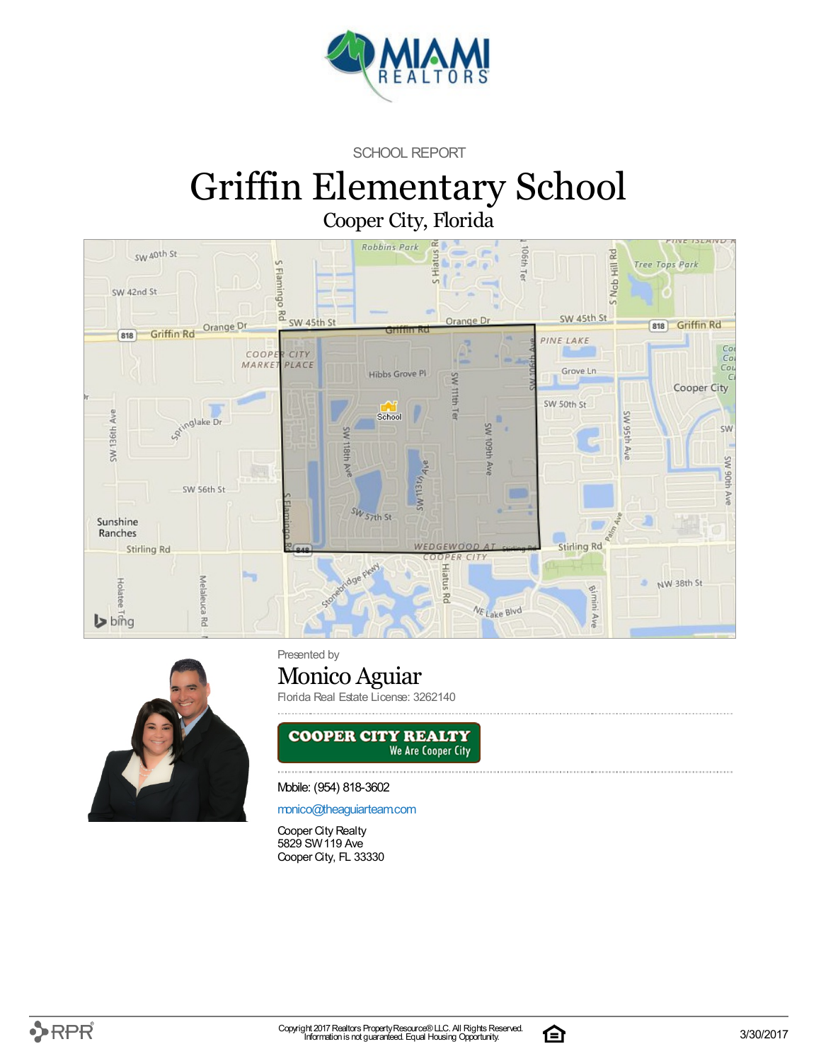

SCHOOL REPORT

# Griffin Elementary School Cooper City, Florida





Presented by

### Monico Aguiar

Florida Real Estate License: 3262140



#### Mobile: (954) 818-3602

[monico@theaguiarteam.com](mailto:monico@theaguiarteam.com)

Cooper City Realty 5829 SW119 Ave Cooper City, FL 33330

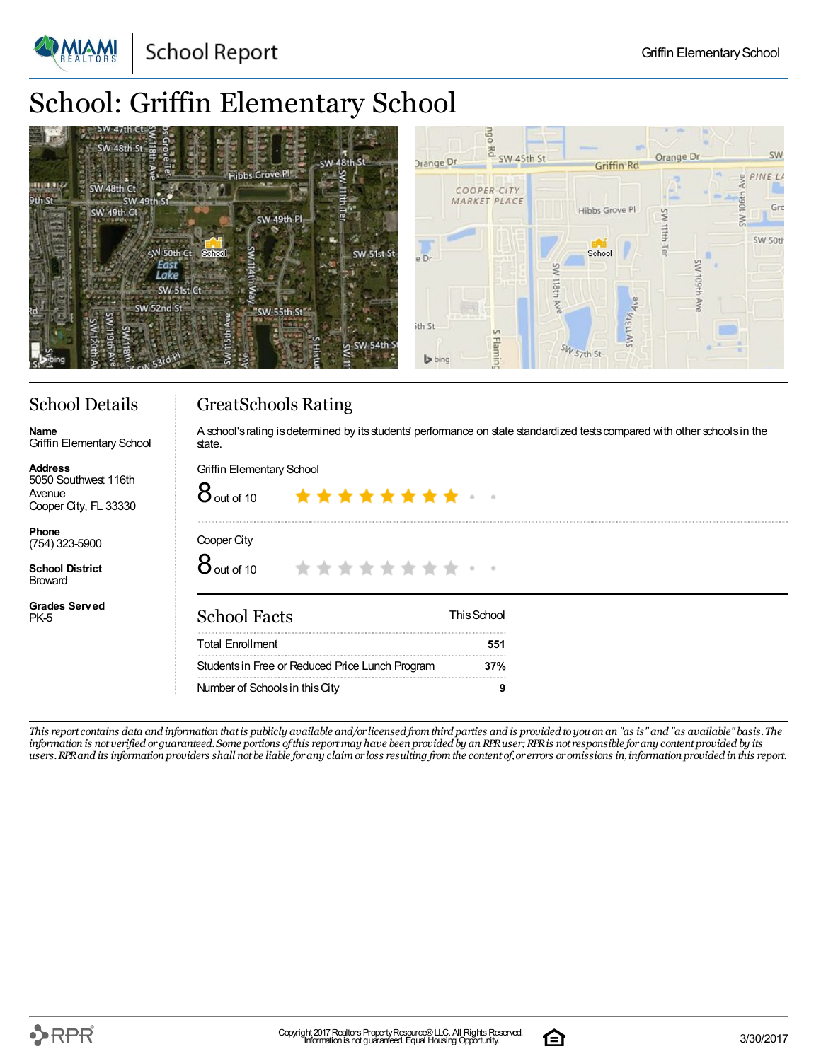**School Report** 

## School: Griffin Elementary School



### School Details

Griffin Elementary School

**Name**

#### GreatSchools Rating

A school's rating is determined by its students' performance on state standardized tests compared with other schools in the state.

| <b>Address</b><br>5050 Southwest 116th<br>Avenue<br>Cooper City, FL 33330 | Griffin Elementary School<br>$8$ out of 10<br>******** * |             |  |  |  |  |
|---------------------------------------------------------------------------|----------------------------------------------------------|-------------|--|--|--|--|
| Phone<br>$(754)$ 323-5900                                                 | Cooper City                                              |             |  |  |  |  |
| <b>School District</b><br><b>Broward</b>                                  | $8$ out of 10<br>***********                             |             |  |  |  |  |
| <b>Grades Served</b><br>PK-5                                              | <b>School Facts</b>                                      | This School |  |  |  |  |
|                                                                           | <b>Total Enrollment</b>                                  | 551         |  |  |  |  |
|                                                                           | Students in Free or Reduced Price Lunch Program          | 37%         |  |  |  |  |
|                                                                           | Number of Schools in this City                           | 9           |  |  |  |  |

This report contains data and information that is publicly available and/or licensed from third parties and is provided to you on an "as is" and "as available" basis. The information is not verified or guaranteed. Some portions of this report may have been provided by an RPR user; RPR is not responsible for any content provided by its users. RPR and its information providers shall not be liable for any claim or loss resulting from the content of, or errors or omissions in, information provided in this report.

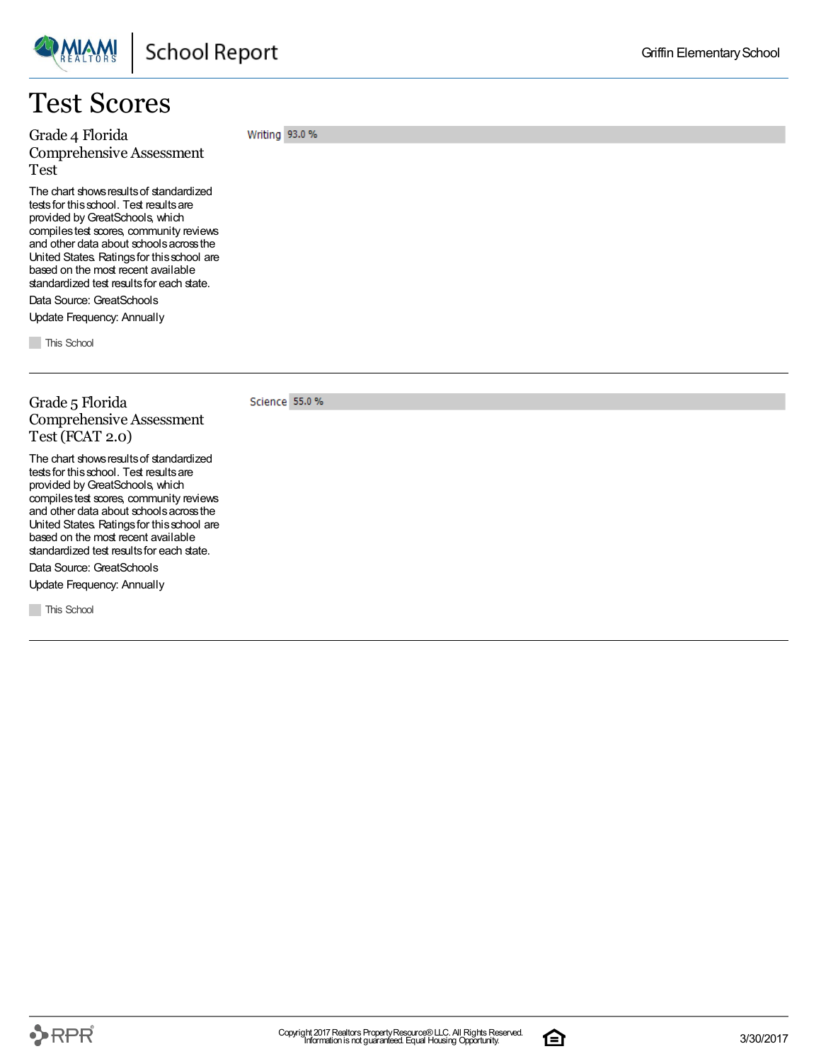

### Test Scores

Grade 4 Florida Comprehensive Assessment Test

The chart shows results of standardized tests for this school. Test results are provided by GreatSchools, which compilestest scores, community reviews and other data about schoolsacrossthe United States. Ratingsfor thisschool are based on the most recent available standardized test results for each state.

Data Source: GreatSchools Update Frequency: Annually

**This School** 

Grade 5 Florida Comprehensive Assessment Test (FCAT 2.0)

The chart shows results of standardized tests for this school. Test results are provided by GreatSchools, which compilestest scores, community reviews and other data about schoolsacrossthe United States. Ratingsfor thisschool are based on the most recent available standardized test results for each state.

Data Source: GreatSchools

Update Frequency: Annually

**This School** 

Writing 93.0 %

Science 55.0 %

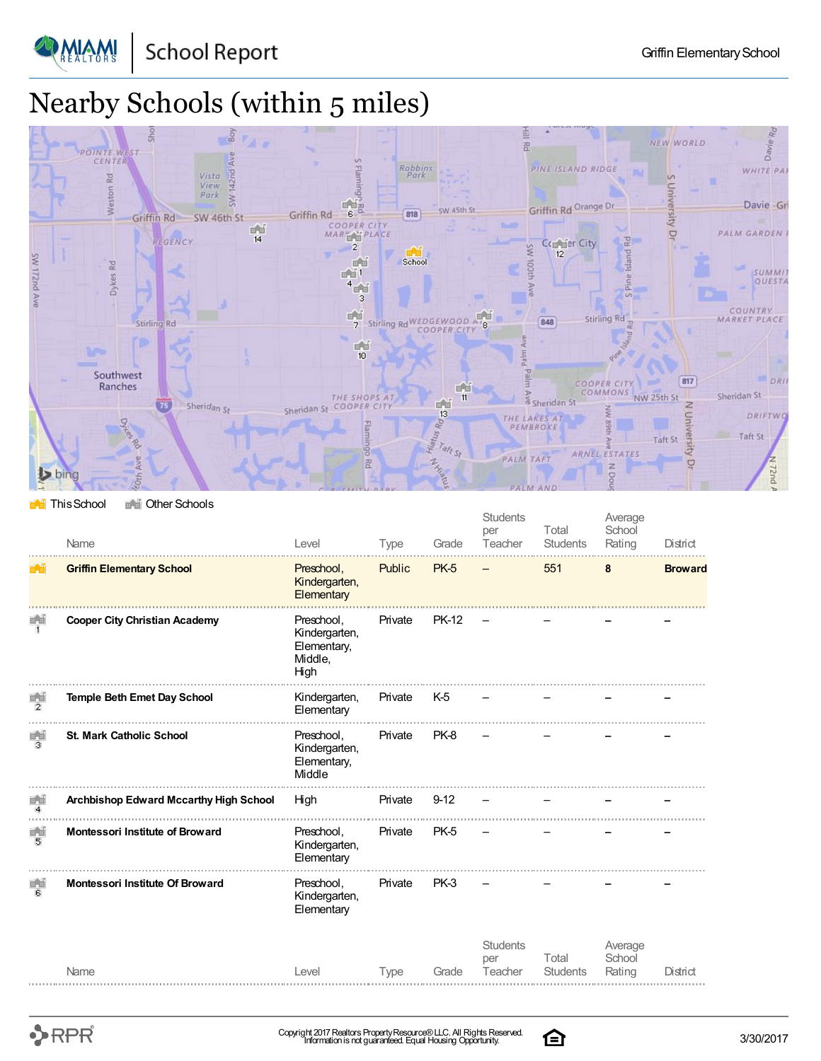

**PMIAMI** 

# Nearby Schools (within 5 miles)



**This School** The Other Schools

|                                       | Name                                   | Level                                                         | Type    | Grade          | <b>Students</b><br>per<br>Teacher | Total<br>Students        | Average<br>School<br>Rating | District       |
|---------------------------------------|----------------------------------------|---------------------------------------------------------------|---------|----------------|-----------------------------------|--------------------------|-----------------------------|----------------|
| $\mathbb{H}_{\mathbb{Z}}[\mathbb{H}]$ | <b>Griffin Elementary School</b>       | Preschool,<br>Kindergarten,<br>Elementary                     | Public  | <b>PK-5</b>    |                                   | 551                      | 8                           | <b>Broward</b> |
| 日日<br>И.                              | <b>Cooper City Christian Academy</b>   | Preschool,<br>Kindergarten,<br>Elementary,<br>Middle,<br>High | Private | <b>PK-12</b>   |                                   |                          |                             |                |
| 百首<br>2                               | <b>Temple Beth Emet Day School</b>     | Kindergarten,<br>Elementary                                   | Private | K <sub>5</sub> |                                   |                          |                             |                |
| 首首<br>з                               | <b>St. Mark Catholic School</b>        | Preschool,<br>Kindergarten,<br>Elementary,<br>Middle          | Private | PK-8           |                                   |                          |                             |                |
| 首当<br>$\overline{4}$                  | Archbishop Edward Mccarthy High School | High                                                          | Private | $9-12$         |                                   |                          |                             |                |
| 面面<br>5                               | <b>Montessori Institute of Broward</b> | Preschool,<br>Kindergarten,<br>Elementary                     | Private | PK-5           |                                   |                          |                             |                |
| 画面<br>6                               | <b>Montessori Institute Of Broward</b> | Preschool,<br>Kindergarten,<br>Elementary                     | Private | PK-3           |                                   |                          |                             |                |
|                                       | Name                                   | Level                                                         | Type    | Grade          | <b>Students</b><br>per<br>Teacher | Total<br><b>Students</b> | Average<br>School<br>Rating | District       |